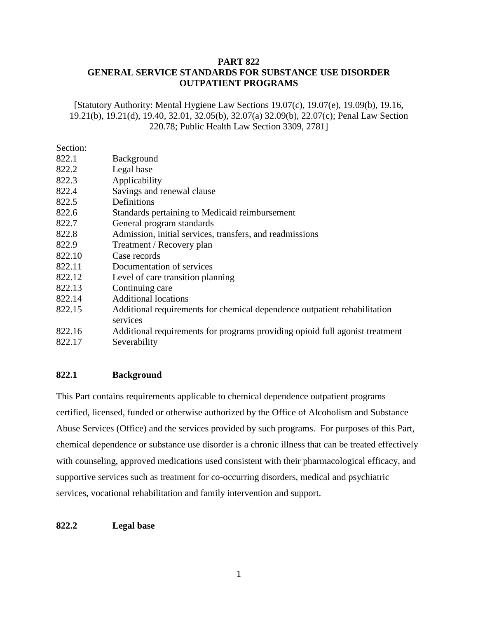# **PART 822 GENERAL SERVICE STANDARDS FOR SUBSTANCE USE DISORDER OUTPATIENT PROGRAMS**

[Statutory Authority: Mental Hygiene Law Sections 19.07(c), 19.07(e), 19.09(b), 19.16, 19.21(b), 19.21(d), 19.40, 32.01, 32.05(b), 32.07(a) 32.09(b), 22.07(c); Penal Law Section 220.78; Public Health Law Section 3309, 2781]

Section: 822.1 Background 822.2 Legal base 822.3 Applicability 822.4 Savings and renewal clause 822.5 Definitions 822.6 Standards pertaining to Medicaid reimbursement 822.7 General program standards 822.8 Admission, initial services, transfers, and readmissions 822.9 Treatment / Recovery plan 822.10 Case records 822.11 Documentation of services 822.12 Level of care transition planning 822.13 Continuing care 822.14 Additional locations 822.15 Additional requirements for chemical dependence outpatient rehabilitation services 822.16 Additional requirements for programs providing opioid full agonist treatment 822.17 Severability

# **822.1 Background**

This Part contains requirements applicable to chemical dependence outpatient programs certified, licensed, funded or otherwise authorized by the Office of Alcoholism and Substance Abuse Services (Office) and the services provided by such programs. For purposes of this Part, chemical dependence or substance use disorder is a chronic illness that can be treated effectively with counseling, approved medications used consistent with their pharmacological efficacy, and supportive services such as treatment for co-occurring disorders, medical and psychiatric services, vocational rehabilitation and family intervention and support.

## **822.2 Legal base**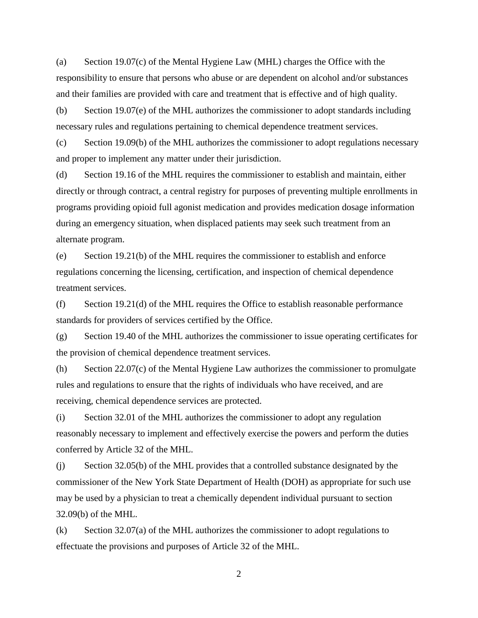(a) Section 19.07(c) of the Mental Hygiene Law (MHL) charges the Office with the responsibility to ensure that persons who abuse or are dependent on alcohol and/or substances and their families are provided with care and treatment that is effective and of high quality.

(b) Section 19.07(e) of the MHL authorizes the commissioner to adopt standards including necessary rules and regulations pertaining to chemical dependence treatment services.

(c) Section 19.09(b) of the MHL authorizes the commissioner to adopt regulations necessary and proper to implement any matter under their jurisdiction.

(d) Section 19.16 of the MHL requires the commissioner to establish and maintain, either directly or through contract, a central registry for purposes of preventing multiple enrollments in programs providing opioid full agonist medication and provides medication dosage information during an emergency situation, when displaced patients may seek such treatment from an alternate program.

(e) Section 19.21(b) of the MHL requires the commissioner to establish and enforce regulations concerning the licensing, certification, and inspection of chemical dependence treatment services.

(f) Section 19.21(d) of the MHL requires the Office to establish reasonable performance standards for providers of services certified by the Office.

(g) Section 19.40 of the MHL authorizes the commissioner to issue operating certificates for the provision of chemical dependence treatment services.

(h) Section 22.07(c) of the Mental Hygiene Law authorizes the commissioner to promulgate rules and regulations to ensure that the rights of individuals who have received, and are receiving, chemical dependence services are protected.

(i) Section 32.01 of the MHL authorizes the commissioner to adopt any regulation reasonably necessary to implement and effectively exercise the powers and perform the duties conferred by Article 32 of the MHL.

(j) Section 32.05(b) of the MHL provides that a controlled substance designated by the commissioner of the New York State Department of Health (DOH) as appropriate for such use may be used by a physician to treat a chemically dependent individual pursuant to section 32.09(b) of the MHL.

 $(k)$  Section 32.07(a) of the MHL authorizes the commissioner to adopt regulations to effectuate the provisions and purposes of Article 32 of the MHL.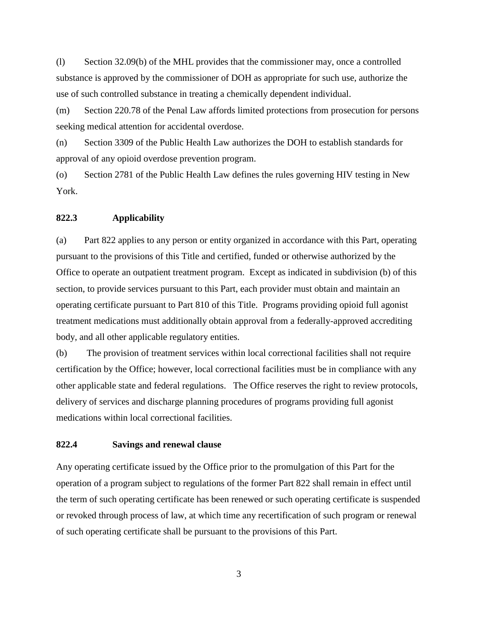(l) Section 32.09(b) of the MHL provides that the commissioner may, once a controlled substance is approved by the commissioner of DOH as appropriate for such use, authorize the use of such controlled substance in treating a chemically dependent individual.

(m) Section 220.78 of the Penal Law affords limited protections from prosecution for persons seeking medical attention for accidental overdose.

(n) Section 3309 of the Public Health Law authorizes the DOH to establish standards for approval of any opioid overdose prevention program.

(o) Section 2781 of the Public Health Law defines the rules governing HIV testing in New York.

### **822.3 Applicability**

(a) Part 822 applies to any person or entity organized in accordance with this Part, operating pursuant to the provisions of this Title and certified, funded or otherwise authorized by the Office to operate an outpatient treatment program. Except as indicated in subdivision (b) of this section, to provide services pursuant to this Part, each provider must obtain and maintain an operating certificate pursuant to Part 810 of this Title. Programs providing opioid full agonist treatment medications must additionally obtain approval from a federally-approved accrediting body, and all other applicable regulatory entities.

(b) The provision of treatment services within local correctional facilities shall not require certification by the Office; however, local correctional facilities must be in compliance with any other applicable state and federal regulations. The Office reserves the right to review protocols, delivery of services and discharge planning procedures of programs providing full agonist medications within local correctional facilities.

#### **822.4 Savings and renewal clause**

Any operating certificate issued by the Office prior to the promulgation of this Part for the operation of a program subject to regulations of the former Part 822 shall remain in effect until the term of such operating certificate has been renewed or such operating certificate is suspended or revoked through process of law, at which time any recertification of such program or renewal of such operating certificate shall be pursuant to the provisions of this Part.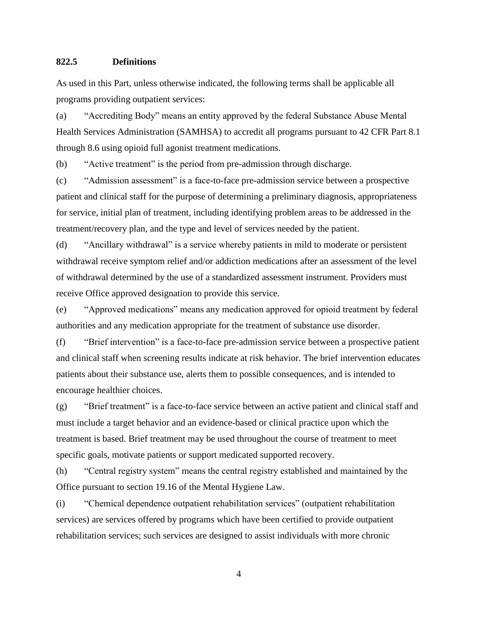#### **822.5 Definitions**

As used in this Part, unless otherwise indicated, the following terms shall be applicable all programs providing outpatient services:

(a) "Accrediting Body" means an entity approved by the federal Substance Abuse Mental Health Services Administration (SAMHSA) to accredit all programs pursuant to 42 CFR Part 8.1 through 8.6 using opioid full agonist treatment medications.

(b) "Active treatment" is the period from pre-admission through discharge.

(c) "Admission assessment" is a face-to-face pre-admission service between a prospective patient and clinical staff for the purpose of determining a preliminary diagnosis, appropriateness for service, initial plan of treatment, including identifying problem areas to be addressed in the treatment/recovery plan, and the type and level of services needed by the patient.

(d) "Ancillary withdrawal" is a service whereby patients in mild to moderate or persistent withdrawal receive symptom relief and/or addiction medications after an assessment of the level of withdrawal determined by the use of a standardized assessment instrument. Providers must receive Office approved designation to provide this service.

(e) "Approved medications" means any medication approved for opioid treatment by federal authorities and any medication appropriate for the treatment of substance use disorder.

(f) "Brief intervention" is a face-to-face pre-admission service between a prospective patient and clinical staff when screening results indicate at risk behavior. The brief intervention educates patients about their substance use, alerts them to possible consequences, and is intended to encourage healthier choices.

(g) "Brief treatment" is a face-to-face service between an active patient and clinical staff and must include a target behavior and an evidence-based or clinical practice upon which the treatment is based. Brief treatment may be used throughout the course of treatment to meet specific goals, motivate patients or support medicated supported recovery.

(h) "Central registry system" means the central registry established and maintained by the Office pursuant to section 19.16 of the Mental Hygiene Law.

(i) "Chemical dependence outpatient rehabilitation services" (outpatient rehabilitation services) are services offered by programs which have been certified to provide outpatient rehabilitation services; such services are designed to assist individuals with more chronic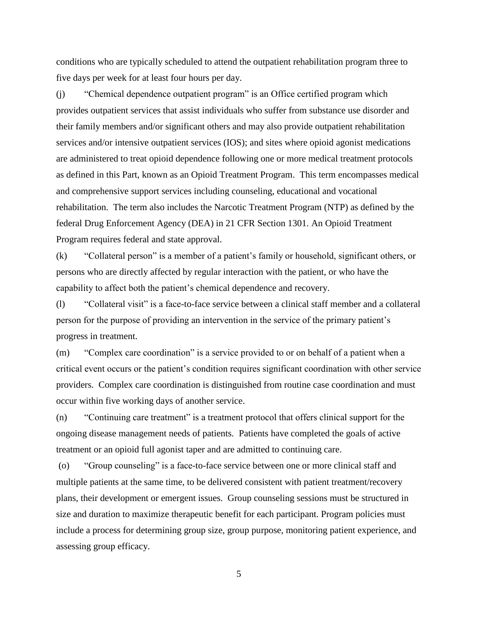conditions who are typically scheduled to attend the outpatient rehabilitation program three to five days per week for at least four hours per day.

(j) "Chemical dependence outpatient program" is an Office certified program which provides outpatient services that assist individuals who suffer from substance use disorder and their family members and/or significant others and may also provide outpatient rehabilitation services and/or intensive outpatient services (IOS); and sites where opioid agonist medications are administered to treat opioid dependence following one or more medical treatment protocols as defined in this Part, known as an Opioid Treatment Program. This term encompasses medical and comprehensive support services including counseling, educational and vocational rehabilitation. The term also includes the Narcotic Treatment Program (NTP) as defined by the federal Drug Enforcement Agency (DEA) in 21 CFR Section 1301. An Opioid Treatment Program requires federal and state approval.

(k) "Collateral person" is a member of a patient's family or household, significant others, or persons who are directly affected by regular interaction with the patient, or who have the capability to affect both the patient's chemical dependence and recovery.

(l) "Collateral visit" is a face-to-face service between a clinical staff member and a collateral person for the purpose of providing an intervention in the service of the primary patient's progress in treatment.

(m) "Complex care coordination" is a service provided to or on behalf of a patient when a critical event occurs or the patient's condition requires significant coordination with other service providers. Complex care coordination is distinguished from routine case coordination and must occur within five working days of another service.

(n) "Continuing care treatment" is a treatment protocol that offers clinical support for the ongoing disease management needs of patients. Patients have completed the goals of active treatment or an opioid full agonist taper and are admitted to continuing care.

(o) "Group counseling" is a face-to-face service between one or more clinical staff and multiple patients at the same time, to be delivered consistent with patient treatment/recovery plans, their development or emergent issues. Group counseling sessions must be structured in size and duration to maximize therapeutic benefit for each participant. Program policies must include a process for determining group size, group purpose, monitoring patient experience, and assessing group efficacy.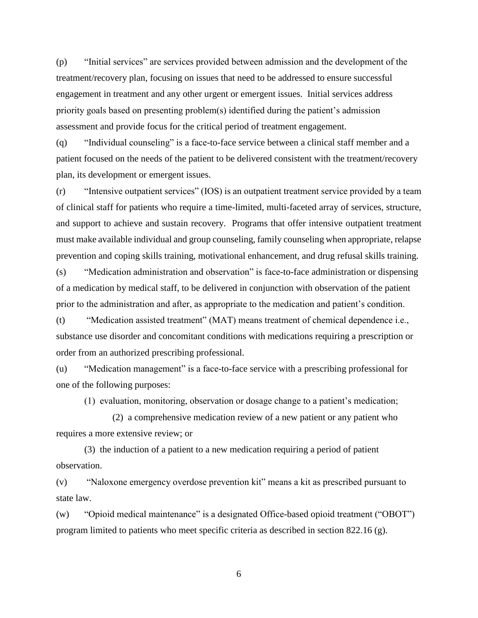(p) "Initial services" are services provided between admission and the development of the treatment/recovery plan, focusing on issues that need to be addressed to ensure successful engagement in treatment and any other urgent or emergent issues. Initial services address priority goals based on presenting problem(s) identified during the patient's admission assessment and provide focus for the critical period of treatment engagement.

(q) "Individual counseling" is a face-to-face service between a clinical staff member and a patient focused on the needs of the patient to be delivered consistent with the treatment/recovery plan, its development or emergent issues.

(r) "Intensive outpatient services" (IOS) is an outpatient treatment service provided by a team of clinical staff for patients who require a time-limited, multi-faceted array of services, structure, and support to achieve and sustain recovery. Programs that offer intensive outpatient treatment must make available individual and group counseling, family counseling when appropriate, relapse prevention and coping skills training, motivational enhancement, and drug refusal skills training.

(s) "Medication administration and observation" is face-to-face administration or dispensing of a medication by medical staff, to be delivered in conjunction with observation of the patient prior to the administration and after, as appropriate to the medication and patient's condition.

(t) "Medication assisted treatment" (MAT) means treatment of chemical dependence i.e., substance use disorder and concomitant conditions with medications requiring a prescription or order from an authorized prescribing professional.

(u) "Medication management" is a face-to-face service with a prescribing professional for one of the following purposes:

(1) evaluation, monitoring, observation or dosage change to a patient's medication;

(2) a comprehensive medication review of a new patient or any patient who requires a more extensive review; or

(3) the induction of a patient to a new medication requiring a period of patient observation.

(v) "Naloxone emergency overdose prevention kit" means a kit as prescribed pursuant to state law.

(w) "Opioid medical maintenance" is a designated Office-based opioid treatment ("OBOT") program limited to patients who meet specific criteria as described in section 822.16 (g).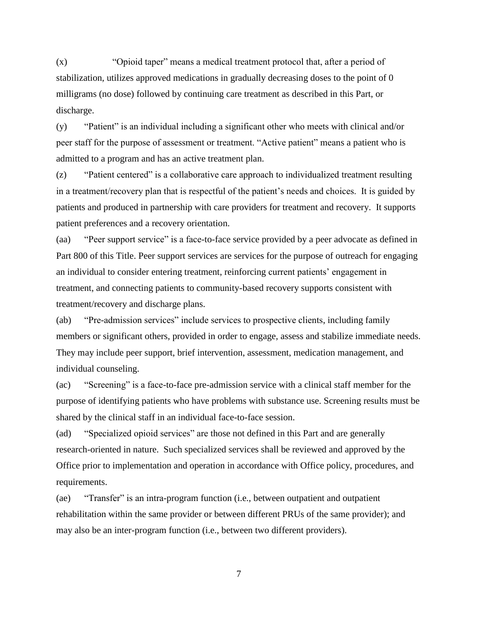(x) "Opioid taper" means a medical treatment protocol that, after a period of stabilization, utilizes approved medications in gradually decreasing doses to the point of 0 milligrams (no dose) followed by continuing care treatment as described in this Part, or discharge.

(y) "Patient" is an individual including a significant other who meets with clinical and/or peer staff for the purpose of assessment or treatment. "Active patient" means a patient who is admitted to a program and has an active treatment plan.

(z) "Patient centered" is a collaborative care approach to individualized treatment resulting in a treatment/recovery plan that is respectful of the patient's needs and choices. It is guided by patients and produced in partnership with care providers for treatment and recovery. It supports patient preferences and a recovery orientation.

(aa) "Peer support service" is a face-to-face service provided by a peer advocate as defined in Part 800 of this Title. Peer support services are services for the purpose of outreach for engaging an individual to consider entering treatment, reinforcing current patients' engagement in treatment, and connecting patients to community-based recovery supports consistent with treatment/recovery and discharge plans.

(ab) "Pre-admission services" include services to prospective clients, including family members or significant others, provided in order to engage, assess and stabilize immediate needs. They may include peer support, brief intervention, assessment, medication management, and individual counseling.

(ac) "Screening" is a face-to-face pre-admission service with a clinical staff member for the purpose of identifying patients who have problems with substance use. Screening results must be shared by the clinical staff in an individual face-to-face session.

(ad) "Specialized opioid services" are those not defined in this Part and are generally research-oriented in nature. Such specialized services shall be reviewed and approved by the Office prior to implementation and operation in accordance with Office policy, procedures, and requirements.

(ae) "Transfer" is an intra-program function (i.e., between outpatient and outpatient rehabilitation within the same provider or between different PRUs of the same provider); and may also be an inter-program function (i.e., between two different providers).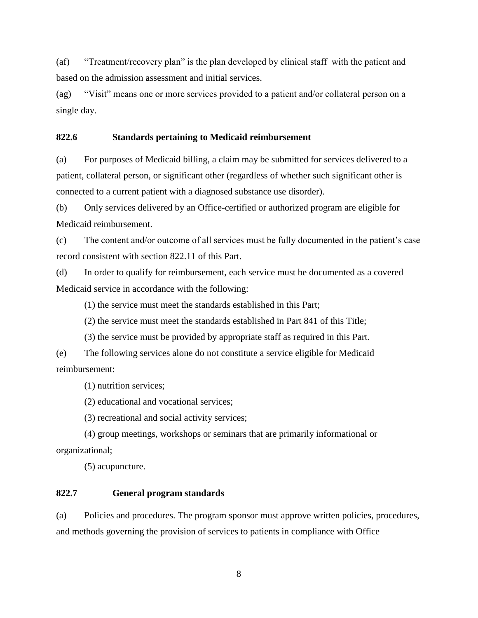(af) "Treatment/recovery plan" is the plan developed by clinical staff with the patient and based on the admission assessment and initial services.

(ag) "Visit" means one or more services provided to a patient and/or collateral person on a single day.

## **822.6 Standards pertaining to Medicaid reimbursement**

(a) For purposes of Medicaid billing, a claim may be submitted for services delivered to a patient, collateral person, or significant other (regardless of whether such significant other is connected to a current patient with a diagnosed substance use disorder).

(b) Only services delivered by an Office-certified or authorized program are eligible for Medicaid reimbursement.

(c) The content and/or outcome of all services must be fully documented in the patient's case record consistent with section 822.11 of this Part.

(d) In order to qualify for reimbursement, each service must be documented as a covered Medicaid service in accordance with the following:

(1) the service must meet the standards established in this Part;

(2) the service must meet the standards established in Part 841 of this Title;

(3) the service must be provided by appropriate staff as required in this Part.

(e) The following services alone do not constitute a service eligible for Medicaid reimbursement:

(1) nutrition services;

(2) educational and vocational services;

(3) recreational and social activity services;

(4) group meetings, workshops or seminars that are primarily informational or organizational;

(5) acupuncture.

## **822.7 General program standards**

(a) Policies and procedures. The program sponsor must approve written policies, procedures, and methods governing the provision of services to patients in compliance with Office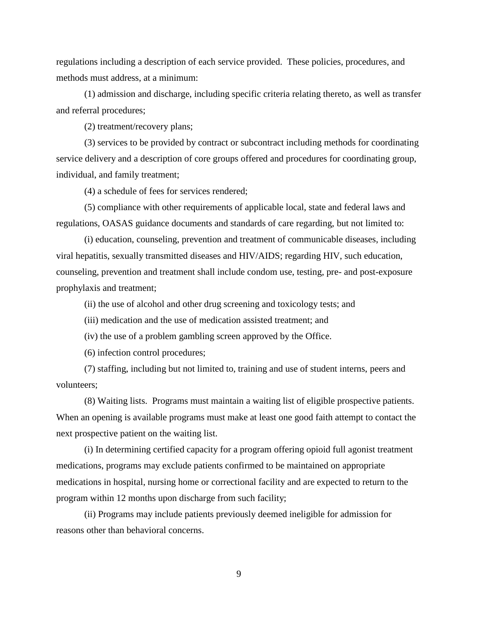regulations including a description of each service provided. These policies, procedures, and methods must address, at a minimum:

(1) admission and discharge, including specific criteria relating thereto, as well as transfer and referral procedures;

(2) treatment/recovery plans;

(3) services to be provided by contract or subcontract including methods for coordinating service delivery and a description of core groups offered and procedures for coordinating group, individual, and family treatment;

(4) a schedule of fees for services rendered;

(5) compliance with other requirements of applicable local, state and federal laws and regulations, OASAS guidance documents and standards of care regarding, but not limited to:

(i) education, counseling, prevention and treatment of communicable diseases, including viral hepatitis, sexually transmitted diseases and HIV/AIDS; regarding HIV, such education, counseling, prevention and treatment shall include condom use, testing, pre- and post-exposure prophylaxis and treatment;

(ii) the use of alcohol and other drug screening and toxicology tests; and

(iii) medication and the use of medication assisted treatment; and

(iv) the use of a problem gambling screen approved by the Office.

(6) infection control procedures;

(7) staffing, including but not limited to, training and use of student interns, peers and volunteers;

(8) Waiting lists. Programs must maintain a waiting list of eligible prospective patients. When an opening is available programs must make at least one good faith attempt to contact the next prospective patient on the waiting list.

(i) In determining certified capacity for a program offering opioid full agonist treatment medications, programs may exclude patients confirmed to be maintained on appropriate medications in hospital, nursing home or correctional facility and are expected to return to the program within 12 months upon discharge from such facility;

(ii) Programs may include patients previously deemed ineligible for admission for reasons other than behavioral concerns.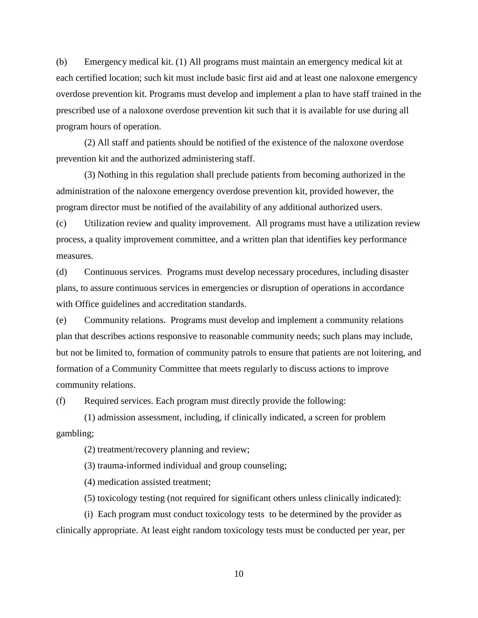(b) Emergency medical kit. (1) All programs must maintain an emergency medical kit at each certified location; such kit must include basic first aid and at least one naloxone emergency overdose prevention kit. Programs must develop and implement a plan to have staff trained in the prescribed use of a naloxone overdose prevention kit such that it is available for use during all program hours of operation.

(2) All staff and patients should be notified of the existence of the naloxone overdose prevention kit and the authorized administering staff.

(3) Nothing in this regulation shall preclude patients from becoming authorized in the administration of the naloxone emergency overdose prevention kit, provided however, the program director must be notified of the availability of any additional authorized users.

(c) Utilization review and quality improvement. All programs must have a utilization review process, a quality improvement committee, and a written plan that identifies key performance measures.

(d) Continuous services. Programs must develop necessary procedures, including disaster plans, to assure continuous services in emergencies or disruption of operations in accordance with Office guidelines and accreditation standards.

(e) Community relations. Programs must develop and implement a community relations plan that describes actions responsive to reasonable community needs; such plans may include, but not be limited to, formation of community patrols to ensure that patients are not loitering, and formation of a Community Committee that meets regularly to discuss actions to improve community relations.

(f) Required services. Each program must directly provide the following:

(1) admission assessment, including, if clinically indicated, a screen for problem gambling;

(2) treatment/recovery planning and review;

(3) trauma-informed individual and group counseling;

(4) medication assisted treatment;

(5) toxicology testing (not required for significant others unless clinically indicated):

(i) Each program must conduct toxicology tests to be determined by the provider as clinically appropriate. At least eight random toxicology tests must be conducted per year, per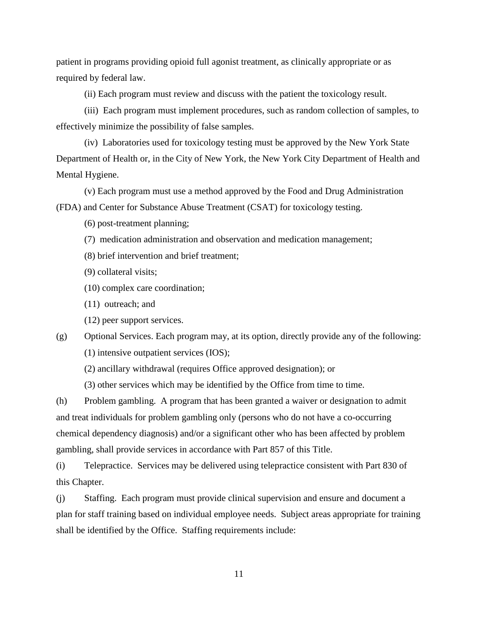patient in programs providing opioid full agonist treatment, as clinically appropriate or as required by federal law.

(ii) Each program must review and discuss with the patient the toxicology result.

(iii) Each program must implement procedures, such as random collection of samples, to effectively minimize the possibility of false samples.

(iv) Laboratories used for toxicology testing must be approved by the New York State Department of Health or, in the City of New York, the New York City Department of Health and Mental Hygiene.

(v) Each program must use a method approved by the Food and Drug Administration (FDA) and Center for Substance Abuse Treatment (CSAT) for toxicology testing.

(6) post-treatment planning;

(7) medication administration and observation and medication management;

- (8) brief intervention and brief treatment;
- (9) collateral visits;
- (10) complex care coordination;
- (11) outreach; and
- (12) peer support services.

(g) Optional Services. Each program may, at its option, directly provide any of the following: (1) intensive outpatient services (IOS);

(2) ancillary withdrawal (requires Office approved designation); or

(3) other services which may be identified by the Office from time to time.

(h) Problem gambling. A program that has been granted a waiver or designation to admit and treat individuals for problem gambling only (persons who do not have a co-occurring chemical dependency diagnosis) and/or a significant other who has been affected by problem gambling, shall provide services in accordance with Part 857 of this Title.

(i) Telepractice. Services may be delivered using telepractice consistent with Part 830 of this Chapter.

(j) Staffing. Each program must provide clinical supervision and ensure and document a plan for staff training based on individual employee needs. Subject areas appropriate for training shall be identified by the Office. Staffing requirements include: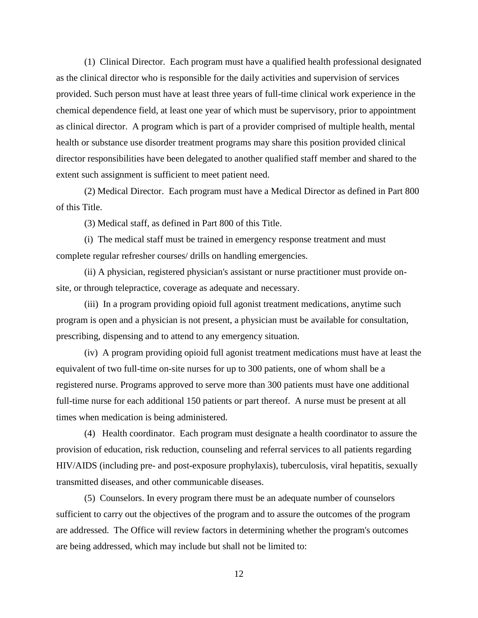(1) Clinical Director. Each program must have a qualified health professional designated as the clinical director who is responsible for the daily activities and supervision of services provided. Such person must have at least three years of full-time clinical work experience in the chemical dependence field, at least one year of which must be supervisory, prior to appointment as clinical director. A program which is part of a provider comprised of multiple health, mental health or substance use disorder treatment programs may share this position provided clinical director responsibilities have been delegated to another qualified staff member and shared to the extent such assignment is sufficient to meet patient need.

(2) Medical Director. Each program must have a Medical Director as defined in Part 800 of this Title.

(3) Medical staff, as defined in Part 800 of this Title.

(i) The medical staff must be trained in emergency response treatment and must complete regular refresher courses/ drills on handling emergencies.

(ii) A physician, registered physician's assistant or nurse practitioner must provide onsite, or through telepractice, coverage as adequate and necessary.

(iii) In a program providing opioid full agonist treatment medications, anytime such program is open and a physician is not present, a physician must be available for consultation, prescribing, dispensing and to attend to any emergency situation.

(iv) A program providing opioid full agonist treatment medications must have at least the equivalent of two full-time on-site nurses for up to 300 patients, one of whom shall be a registered nurse. Programs approved to serve more than 300 patients must have one additional full-time nurse for each additional 150 patients or part thereof. A nurse must be present at all times when medication is being administered.

(4) Health coordinator. Each program must designate a health coordinator to assure the provision of education, risk reduction, counseling and referral services to all patients regarding HIV/AIDS (including pre- and post-exposure prophylaxis), tuberculosis, viral hepatitis, sexually transmitted diseases, and other communicable diseases.

(5) Counselors. In every program there must be an adequate number of counselors sufficient to carry out the objectives of the program and to assure the outcomes of the program are addressed. The Office will review factors in determining whether the program's outcomes are being addressed, which may include but shall not be limited to: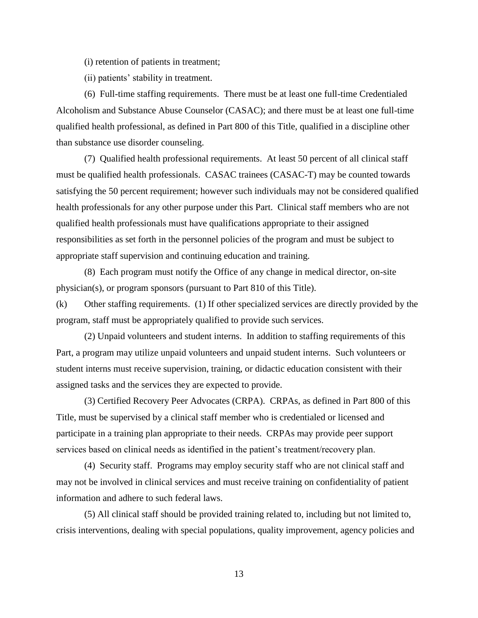- (i) retention of patients in treatment;
- (ii) patients' stability in treatment.

(6) Full-time staffing requirements. There must be at least one full-time Credentialed Alcoholism and Substance Abuse Counselor (CASAC); and there must be at least one full-time qualified health professional, as defined in Part 800 of this Title, qualified in a discipline other than substance use disorder counseling.

(7) Qualified health professional requirements. At least 50 percent of all clinical staff must be qualified health professionals. CASAC trainees (CASAC-T) may be counted towards satisfying the 50 percent requirement; however such individuals may not be considered qualified health professionals for any other purpose under this Part. Clinical staff members who are not qualified health professionals must have qualifications appropriate to their assigned responsibilities as set forth in the personnel policies of the program and must be subject to appropriate staff supervision and continuing education and training.

(8) Each program must notify the Office of any change in medical director, on-site physician(s), or program sponsors (pursuant to Part 810 of this Title).

(k) Other staffing requirements. (1) If other specialized services are directly provided by the program, staff must be appropriately qualified to provide such services.

(2) Unpaid volunteers and student interns. In addition to staffing requirements of this Part, a program may utilize unpaid volunteers and unpaid student interns. Such volunteers or student interns must receive supervision, training, or didactic education consistent with their assigned tasks and the services they are expected to provide.

(3) Certified Recovery Peer Advocates (CRPA). CRPAs, as defined in Part 800 of this Title, must be supervised by a clinical staff member who is credentialed or licensed and participate in a training plan appropriate to their needs. CRPAs may provide peer support services based on clinical needs as identified in the patient's treatment/recovery plan.

(4) Security staff. Programs may employ security staff who are not clinical staff and may not be involved in clinical services and must receive training on confidentiality of patient information and adhere to such federal laws.

(5) All clinical staff should be provided training related to, including but not limited to, crisis interventions, dealing with special populations, quality improvement, agency policies and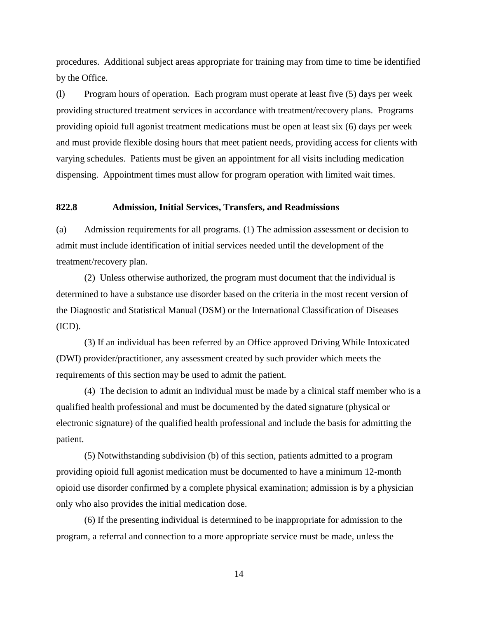procedures. Additional subject areas appropriate for training may from time to time be identified by the Office.

(l) Program hours of operation. Each program must operate at least five (5) days per week providing structured treatment services in accordance with treatment/recovery plans. Programs providing opioid full agonist treatment medications must be open at least six (6) days per week and must provide flexible dosing hours that meet patient needs, providing access for clients with varying schedules. Patients must be given an appointment for all visits including medication dispensing. Appointment times must allow for program operation with limited wait times.

### **822.8 Admission, Initial Services, Transfers, and Readmissions**

(a) Admission requirements for all programs. (1) The admission assessment or decision to admit must include identification of initial services needed until the development of the treatment/recovery plan.

(2) Unless otherwise authorized, the program must document that the individual is determined to have a substance use disorder based on the criteria in the most recent version of the Diagnostic and Statistical Manual (DSM) or the International Classification of Diseases (ICD).

(3) If an individual has been referred by an Office approved Driving While Intoxicated (DWI) provider/practitioner, any assessment created by such provider which meets the requirements of this section may be used to admit the patient.

(4) The decision to admit an individual must be made by a clinical staff member who is a qualified health professional and must be documented by the dated signature (physical or electronic signature) of the qualified health professional and include the basis for admitting the patient.

(5) Notwithstanding subdivision (b) of this section, patients admitted to a program providing opioid full agonist medication must be documented to have a minimum 12-month opioid use disorder confirmed by a complete physical examination; admission is by a physician only who also provides the initial medication dose.

(6) If the presenting individual is determined to be inappropriate for admission to the program, a referral and connection to a more appropriate service must be made, unless the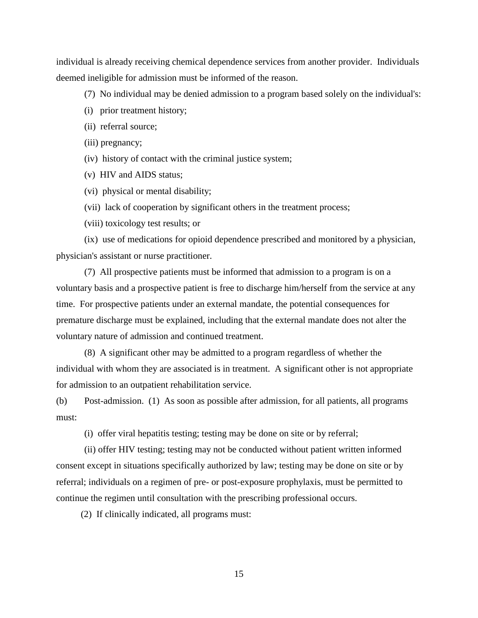individual is already receiving chemical dependence services from another provider. Individuals deemed ineligible for admission must be informed of the reason.

(7) No individual may be denied admission to a program based solely on the individual's:

- (i) prior treatment history;
- (ii) referral source;
- (iii) pregnancy;
- (iv) history of contact with the criminal justice system;
- (v) HIV and AIDS status;
- (vi) physical or mental disability;
- (vii) lack of cooperation by significant others in the treatment process;
- (viii) toxicology test results; or

(ix) use of medications for opioid dependence prescribed and monitored by a physician, physician's assistant or nurse practitioner.

(7) All prospective patients must be informed that admission to a program is on a voluntary basis and a prospective patient is free to discharge him/herself from the service at any time. For prospective patients under an external mandate, the potential consequences for premature discharge must be explained, including that the external mandate does not alter the voluntary nature of admission and continued treatment.

(8) A significant other may be admitted to a program regardless of whether the individual with whom they are associated is in treatment. A significant other is not appropriate for admission to an outpatient rehabilitation service.

(b) Post-admission. (1) As soon as possible after admission, for all patients, all programs must:

(i) offer viral hepatitis testing; testing may be done on site or by referral;

(ii) offer HIV testing; testing may not be conducted without patient written informed consent except in situations specifically authorized by law; testing may be done on site or by referral; individuals on a regimen of pre- or post-exposure prophylaxis, must be permitted to continue the regimen until consultation with the prescribing professional occurs.

(2) If clinically indicated, all programs must: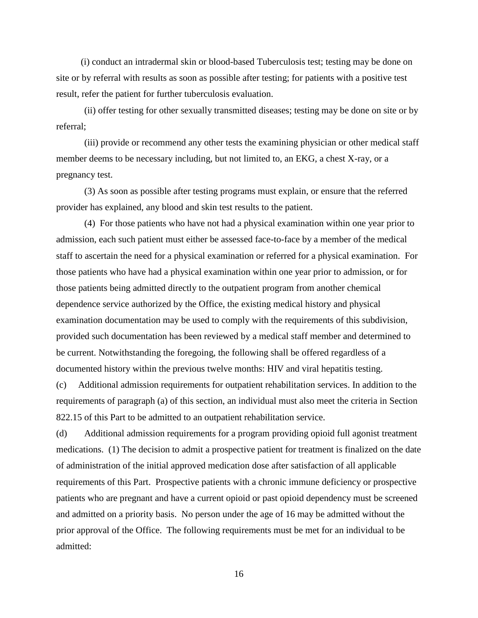(i) conduct an intradermal skin or blood-based Tuberculosis test; testing may be done on site or by referral with results as soon as possible after testing; for patients with a positive test result, refer the patient for further tuberculosis evaluation.

(ii) offer testing for other sexually transmitted diseases; testing may be done on site or by referral;

(iii) provide or recommend any other tests the examining physician or other medical staff member deems to be necessary including, but not limited to, an EKG, a chest X-ray, or a pregnancy test.

(3) As soon as possible after testing programs must explain, or ensure that the referred provider has explained, any blood and skin test results to the patient.

(4) For those patients who have not had a physical examination within one year prior to admission, each such patient must either be assessed face-to-face by a member of the medical staff to ascertain the need for a physical examination or referred for a physical examination. For those patients who have had a physical examination within one year prior to admission, or for those patients being admitted directly to the outpatient program from another chemical dependence service authorized by the Office, the existing medical history and physical examination documentation may be used to comply with the requirements of this subdivision, provided such documentation has been reviewed by a medical staff member and determined to be current. Notwithstanding the foregoing, the following shall be offered regardless of a documented history within the previous twelve months: HIV and viral hepatitis testing.

(c) Additional admission requirements for outpatient rehabilitation services. In addition to the requirements of paragraph (a) of this section, an individual must also meet the criteria in Section 822.15 of this Part to be admitted to an outpatient rehabilitation service.

(d) Additional admission requirements for a program providing opioid full agonist treatment medications. (1) The decision to admit a prospective patient for treatment is finalized on the date of administration of the initial approved medication dose after satisfaction of all applicable requirements of this Part. Prospective patients with a chronic immune deficiency or prospective patients who are pregnant and have a current opioid or past opioid dependency must be screened and admitted on a priority basis. No person under the age of 16 may be admitted without the prior approval of the Office. The following requirements must be met for an individual to be admitted: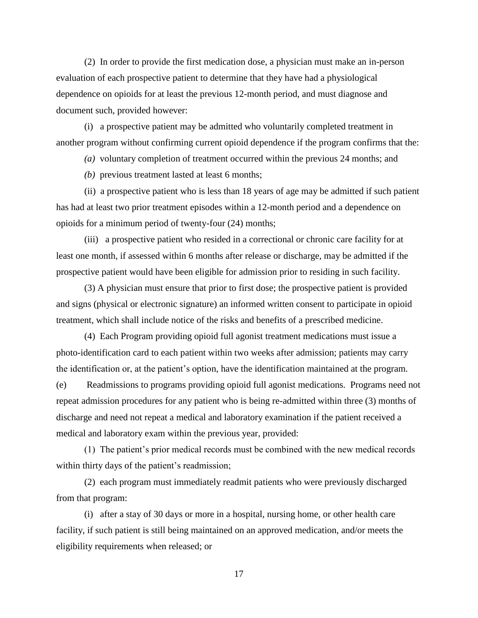(2) In order to provide the first medication dose, a physician must make an in-person evaluation of each prospective patient to determine that they have had a physiological dependence on opioids for at least the previous 12-month period, and must diagnose and document such, provided however:

(i) a prospective patient may be admitted who voluntarily completed treatment in another program without confirming current opioid dependence if the program confirms that the:

*(a)* voluntary completion of treatment occurred within the previous 24 months; and

*(b)* previous treatment lasted at least 6 months;

(ii) a prospective patient who is less than 18 years of age may be admitted if such patient has had at least two prior treatment episodes within a 12-month period and a dependence on opioids for a minimum period of twenty-four (24) months;

(iii) a prospective patient who resided in a correctional or chronic care facility for at least one month, if assessed within 6 months after release or discharge, may be admitted if the prospective patient would have been eligible for admission prior to residing in such facility.

(3) A physician must ensure that prior to first dose; the prospective patient is provided and signs (physical or electronic signature) an informed written consent to participate in opioid treatment, which shall include notice of the risks and benefits of a prescribed medicine.

(4) Each Program providing opioid full agonist treatment medications must issue a photo-identification card to each patient within two weeks after admission; patients may carry the identification or, at the patient's option, have the identification maintained at the program. (e) Readmissions to programs providing opioid full agonist medications. Programs need not repeat admission procedures for any patient who is being re-admitted within three (3) months of discharge and need not repeat a medical and laboratory examination if the patient received a

medical and laboratory exam within the previous year, provided:

(1) The patient's prior medical records must be combined with the new medical records within thirty days of the patient's readmission;

(2) each program must immediately readmit patients who were previously discharged from that program:

(i) after a stay of 30 days or more in a hospital, nursing home, or other health care facility, if such patient is still being maintained on an approved medication, and/or meets the eligibility requirements when released; or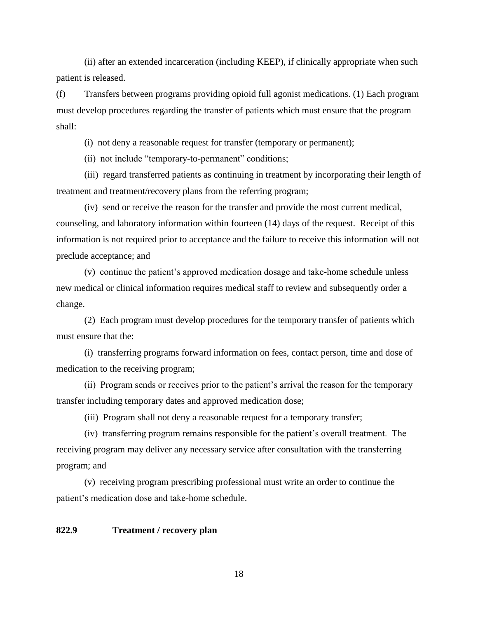(ii) after an extended incarceration (including KEEP), if clinically appropriate when such patient is released.

(f) Transfers between programs providing opioid full agonist medications. (1) Each program must develop procedures regarding the transfer of patients which must ensure that the program shall:

(i) not deny a reasonable request for transfer (temporary or permanent);

(ii) not include "temporary-to-permanent" conditions;

(iii) regard transferred patients as continuing in treatment by incorporating their length of treatment and treatment/recovery plans from the referring program;

(iv) send or receive the reason for the transfer and provide the most current medical, counseling, and laboratory information within fourteen (14) days of the request. Receipt of this information is not required prior to acceptance and the failure to receive this information will not preclude acceptance; and

(v) continue the patient's approved medication dosage and take-home schedule unless new medical or clinical information requires medical staff to review and subsequently order a change.

(2) Each program must develop procedures for the temporary transfer of patients which must ensure that the:

(i) transferring programs forward information on fees, contact person, time and dose of medication to the receiving program;

(ii) Program sends or receives prior to the patient's arrival the reason for the temporary transfer including temporary dates and approved medication dose;

(iii) Program shall not deny a reasonable request for a temporary transfer;

(iv) transferring program remains responsible for the patient's overall treatment. The receiving program may deliver any necessary service after consultation with the transferring program; and

(v) receiving program prescribing professional must write an order to continue the patient's medication dose and take-home schedule.

### **822.9 Treatment / recovery plan**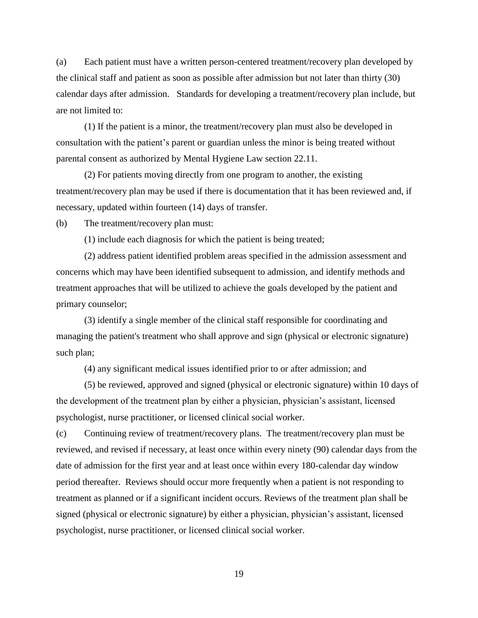(a) Each patient must have a written person-centered treatment/recovery plan developed by the clinical staff and patient as soon as possible after admission but not later than thirty (30) calendar days after admission. Standards for developing a treatment/recovery plan include, but are not limited to:

(1) If the patient is a minor, the treatment/recovery plan must also be developed in consultation with the patient's parent or guardian unless the minor is being treated without parental consent as authorized by Mental Hygiene Law section 22.11.

(2) For patients moving directly from one program to another, the existing treatment/recovery plan may be used if there is documentation that it has been reviewed and, if necessary, updated within fourteen (14) days of transfer.

(b) The treatment/recovery plan must:

(1) include each diagnosis for which the patient is being treated;

(2) address patient identified problem areas specified in the admission assessment and concerns which may have been identified subsequent to admission, and identify methods and treatment approaches that will be utilized to achieve the goals developed by the patient and primary counselor;

(3) identify a single member of the clinical staff responsible for coordinating and managing the patient's treatment who shall approve and sign (physical or electronic signature) such plan;

(4) any significant medical issues identified prior to or after admission; and

(5) be reviewed, approved and signed (physical or electronic signature) within 10 days of the development of the treatment plan by either a physician, physician's assistant, licensed psychologist, nurse practitioner, or licensed clinical social worker.

(c) Continuing review of treatment/recovery plans. The treatment/recovery plan must be reviewed, and revised if necessary, at least once within every ninety (90) calendar days from the date of admission for the first year and at least once within every 180-calendar day window period thereafter. Reviews should occur more frequently when a patient is not responding to treatment as planned or if a significant incident occurs. Reviews of the treatment plan shall be signed (physical or electronic signature) by either a physician, physician's assistant, licensed psychologist, nurse practitioner, or licensed clinical social worker.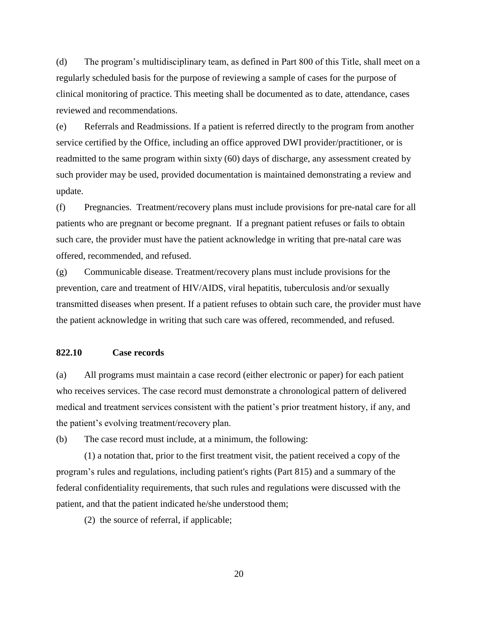(d) The program's multidisciplinary team, as defined in Part 800 of this Title, shall meet on a regularly scheduled basis for the purpose of reviewing a sample of cases for the purpose of clinical monitoring of practice. This meeting shall be documented as to date, attendance, cases reviewed and recommendations.

(e) Referrals and Readmissions. If a patient is referred directly to the program from another service certified by the Office, including an office approved DWI provider/practitioner, or is readmitted to the same program within sixty (60) days of discharge, any assessment created by such provider may be used, provided documentation is maintained demonstrating a review and update.

(f) Pregnancies. Treatment/recovery plans must include provisions for pre-natal care for all patients who are pregnant or become pregnant. If a pregnant patient refuses or fails to obtain such care, the provider must have the patient acknowledge in writing that pre-natal care was offered, recommended, and refused.

(g) Communicable disease. Treatment/recovery plans must include provisions for the prevention, care and treatment of HIV/AIDS, viral hepatitis, tuberculosis and/or sexually transmitted diseases when present. If a patient refuses to obtain such care, the provider must have the patient acknowledge in writing that such care was offered, recommended, and refused.

### **822.10 Case records**

(a) All programs must maintain a case record (either electronic or paper) for each patient who receives services. The case record must demonstrate a chronological pattern of delivered medical and treatment services consistent with the patient's prior treatment history, if any, and the patient's evolving treatment/recovery plan.

(b) The case record must include, at a minimum, the following:

(1) a notation that, prior to the first treatment visit, the patient received a copy of the program's rules and regulations, including patient's rights (Part 815) and a summary of the federal confidentiality requirements, that such rules and regulations were discussed with the patient, and that the patient indicated he/she understood them;

(2) the source of referral, if applicable;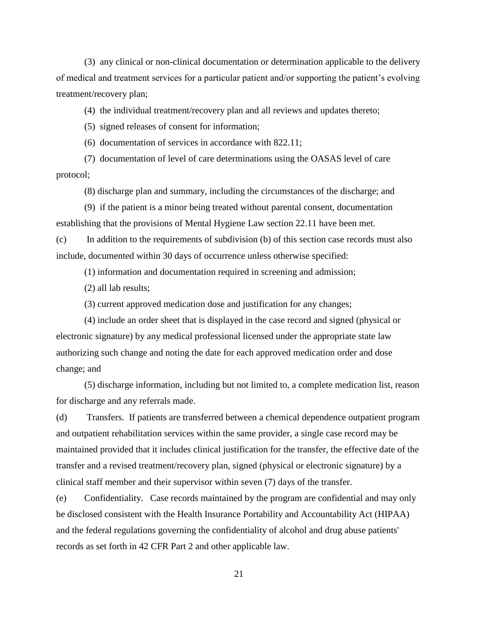(3) any clinical or non-clinical documentation or determination applicable to the delivery of medical and treatment services for a particular patient and/or supporting the patient's evolving treatment/recovery plan;

(4) the individual treatment/recovery plan and all reviews and updates thereto;

(5) signed releases of consent for information;

(6) documentation of services in accordance with 822.11;

(7) documentation of level of care determinations using the OASAS level of care protocol;

(8) discharge plan and summary, including the circumstances of the discharge; and

(9) if the patient is a minor being treated without parental consent, documentation establishing that the provisions of Mental Hygiene Law section 22.11 have been met.

(c) In addition to the requirements of subdivision (b) of this section case records must also include, documented within 30 days of occurrence unless otherwise specified:

(1) information and documentation required in screening and admission;

(2) all lab results;

(3) current approved medication dose and justification for any changes;

(4) include an order sheet that is displayed in the case record and signed (physical or electronic signature) by any medical professional licensed under the appropriate state law authorizing such change and noting the date for each approved medication order and dose change; and

(5) discharge information, including but not limited to, a complete medication list, reason for discharge and any referrals made.

(d) Transfers. If patients are transferred between a chemical dependence outpatient program and outpatient rehabilitation services within the same provider, a single case record may be maintained provided that it includes clinical justification for the transfer, the effective date of the transfer and a revised treatment/recovery plan, signed (physical or electronic signature) by a clinical staff member and their supervisor within seven (7) days of the transfer.

(e) Confidentiality. Case records maintained by the program are confidential and may only be disclosed consistent with the Health Insurance Portability and Accountability Act (HIPAA) and the federal regulations governing the confidentiality of alcohol and drug abuse patients' records as set forth in 42 CFR Part 2 and other applicable law.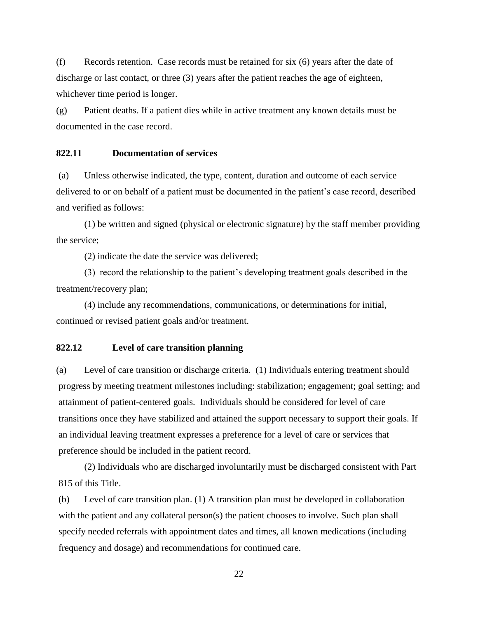(f) Records retention. Case records must be retained for six (6) years after the date of discharge or last contact, or three (3) years after the patient reaches the age of eighteen, whichever time period is longer.

(g) Patient deaths. If a patient dies while in active treatment any known details must be documented in the case record.

#### **822.11 Documentation of services**

(a) Unless otherwise indicated, the type, content, duration and outcome of each service delivered to or on behalf of a patient must be documented in the patient's case record, described and verified as follows:

(1) be written and signed (physical or electronic signature) by the staff member providing the service;

(2) indicate the date the service was delivered;

(3) record the relationship to the patient's developing treatment goals described in the treatment/recovery plan;

(4) include any recommendations, communications, or determinations for initial, continued or revised patient goals and/or treatment.

## **822.12 Level of care transition planning**

(a) Level of care transition or discharge criteria. (1) Individuals entering treatment should progress by meeting treatment milestones including: stabilization; engagement; goal setting; and attainment of patient-centered goals. Individuals should be considered for level of care transitions once they have stabilized and attained the support necessary to support their goals. If an individual leaving treatment expresses a preference for a level of care or services that preference should be included in the patient record.

(2) Individuals who are discharged involuntarily must be discharged consistent with Part 815 of this Title.

(b) Level of care transition plan. (1) A transition plan must be developed in collaboration with the patient and any collateral person(s) the patient chooses to involve. Such plan shall specify needed referrals with appointment dates and times, all known medications (including frequency and dosage) and recommendations for continued care.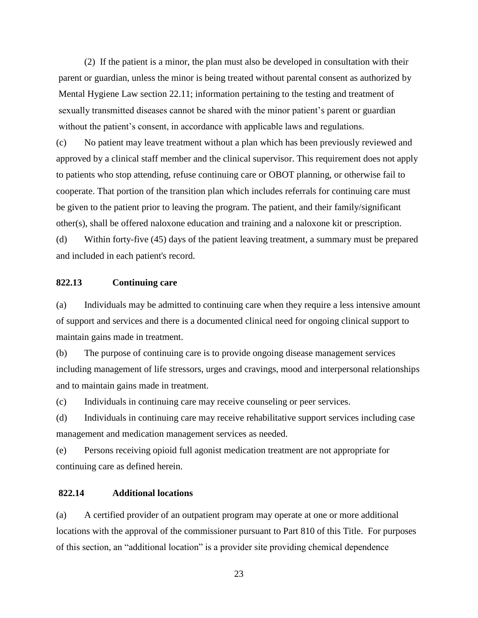(2) If the patient is a minor, the plan must also be developed in consultation with their parent or guardian, unless the minor is being treated without parental consent as authorized by Mental Hygiene Law section 22.11; information pertaining to the testing and treatment of sexually transmitted diseases cannot be shared with the minor patient's parent or guardian without the patient's consent, in accordance with applicable laws and regulations.

(c) No patient may leave treatment without a plan which has been previously reviewed and approved by a clinical staff member and the clinical supervisor. This requirement does not apply to patients who stop attending, refuse continuing care or OBOT planning, or otherwise fail to cooperate. That portion of the transition plan which includes referrals for continuing care must be given to the patient prior to leaving the program. The patient, and their family/significant other(s), shall be offered naloxone education and training and a naloxone kit or prescription. (d) Within forty-five (45) days of the patient leaving treatment, a summary must be prepared

#### **822.13 Continuing care**

and included in each patient's record.

(a) Individuals may be admitted to continuing care when they require a less intensive amount of support and services and there is a documented clinical need for ongoing clinical support to maintain gains made in treatment.

(b) The purpose of continuing care is to provide ongoing disease management services including management of life stressors, urges and cravings, mood and interpersonal relationships and to maintain gains made in treatment.

(c) Individuals in continuing care may receive counseling or peer services.

(d) Individuals in continuing care may receive rehabilitative support services including case management and medication management services as needed.

(e) Persons receiving opioid full agonist medication treatment are not appropriate for continuing care as defined herein.

### **822.14 Additional locations**

(a) A certified provider of an outpatient program may operate at one or more additional locations with the approval of the commissioner pursuant to Part 810 of this Title. For purposes of this section, an "additional location" is a provider site providing chemical dependence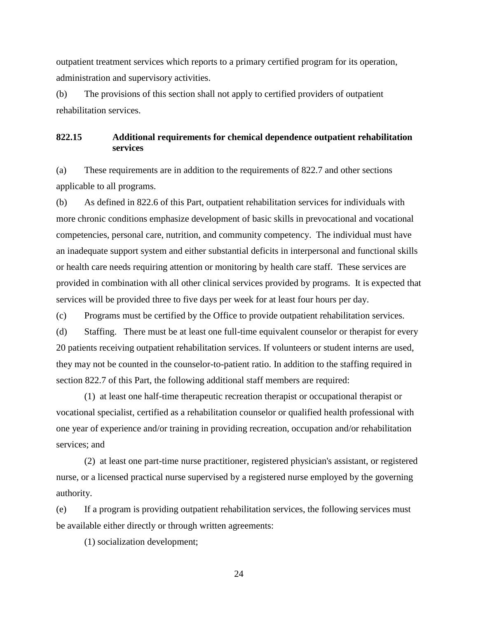outpatient treatment services which reports to a primary certified program for its operation, administration and supervisory activities.

(b) The provisions of this section shall not apply to certified providers of outpatient rehabilitation services.

# **822.15 Additional requirements for chemical dependence outpatient rehabilitation services**

(a) These requirements are in addition to the requirements of 822.7 and other sections applicable to all programs.

(b) As defined in 822.6 of this Part, outpatient rehabilitation services for individuals with more chronic conditions emphasize development of basic skills in prevocational and vocational competencies, personal care, nutrition, and community competency. The individual must have an inadequate support system and either substantial deficits in interpersonal and functional skills or health care needs requiring attention or monitoring by health care staff. These services are provided in combination with all other clinical services provided by programs. It is expected that services will be provided three to five days per week for at least four hours per day.

(c) Programs must be certified by the Office to provide outpatient rehabilitation services.

(d) Staffing. There must be at least one full-time equivalent counselor or therapist for every 20 patients receiving outpatient rehabilitation services. If volunteers or student interns are used, they may not be counted in the counselor-to-patient ratio. In addition to the staffing required in section 822.7 of this Part, the following additional staff members are required:

(1) at least one half-time therapeutic recreation therapist or occupational therapist or vocational specialist, certified as a rehabilitation counselor or qualified health professional with one year of experience and/or training in providing recreation, occupation and/or rehabilitation services; and

(2) at least one part-time nurse practitioner, registered physician's assistant, or registered nurse, or a licensed practical nurse supervised by a registered nurse employed by the governing authority.

(e) If a program is providing outpatient rehabilitation services, the following services must be available either directly or through written agreements:

(1) socialization development;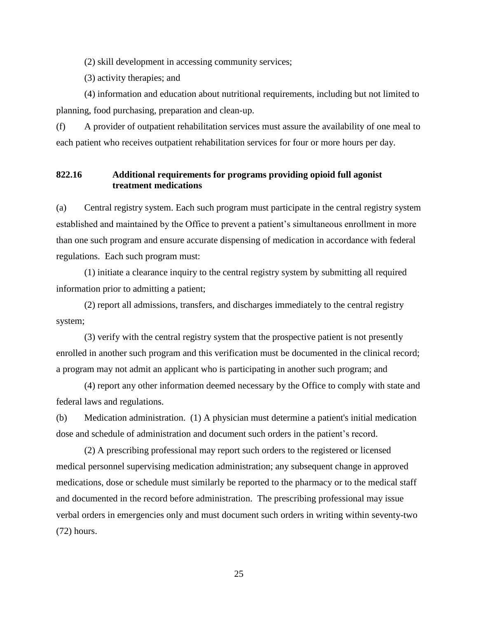(2) skill development in accessing community services;

(3) activity therapies; and

(4) information and education about nutritional requirements, including but not limited to planning, food purchasing, preparation and clean-up.

(f) A provider of outpatient rehabilitation services must assure the availability of one meal to each patient who receives outpatient rehabilitation services for four or more hours per day.

## **822.16 Additional requirements for programs providing opioid full agonist treatment medications**

(a) Central registry system. Each such program must participate in the central registry system established and maintained by the Office to prevent a patient's simultaneous enrollment in more than one such program and ensure accurate dispensing of medication in accordance with federal regulations. Each such program must:

(1) initiate a clearance inquiry to the central registry system by submitting all required information prior to admitting a patient;

(2) report all admissions, transfers, and discharges immediately to the central registry system;

(3) verify with the central registry system that the prospective patient is not presently enrolled in another such program and this verification must be documented in the clinical record; a program may not admit an applicant who is participating in another such program; and

(4) report any other information deemed necessary by the Office to comply with state and federal laws and regulations.

(b) Medication administration. (1) A physician must determine a patient's initial medication dose and schedule of administration and document such orders in the patient's record.

(2) A prescribing professional may report such orders to the registered or licensed medical personnel supervising medication administration; any subsequent change in approved medications, dose or schedule must similarly be reported to the pharmacy or to the medical staff and documented in the record before administration. The prescribing professional may issue verbal orders in emergencies only and must document such orders in writing within seventy-two (72) hours.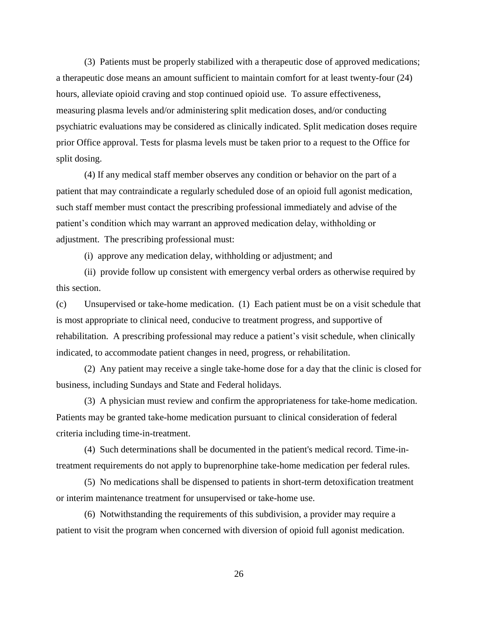(3) Patients must be properly stabilized with a therapeutic dose of approved medications; a therapeutic dose means an amount sufficient to maintain comfort for at least twenty-four (24) hours, alleviate opioid craving and stop continued opioid use. To assure effectiveness, measuring plasma levels and/or administering split medication doses, and/or conducting psychiatric evaluations may be considered as clinically indicated. Split medication doses require prior Office approval. Tests for plasma levels must be taken prior to a request to the Office for split dosing.

(4) If any medical staff member observes any condition or behavior on the part of a patient that may contraindicate a regularly scheduled dose of an opioid full agonist medication, such staff member must contact the prescribing professional immediately and advise of the patient's condition which may warrant an approved medication delay, withholding or adjustment. The prescribing professional must:

(i) approve any medication delay, withholding or adjustment; and

(ii) provide follow up consistent with emergency verbal orders as otherwise required by this section.

(c) Unsupervised or take-home medication. (1) Each patient must be on a visit schedule that is most appropriate to clinical need, conducive to treatment progress, and supportive of rehabilitation. A prescribing professional may reduce a patient's visit schedule, when clinically indicated, to accommodate patient changes in need, progress, or rehabilitation.

(2) Any patient may receive a single take-home dose for a day that the clinic is closed for business, including Sundays and State and Federal holidays.

(3) A physician must review and confirm the appropriateness for take-home medication. Patients may be granted take-home medication pursuant to clinical consideration of federal criteria including time-in-treatment.

(4) Such determinations shall be documented in the patient's medical record. Time-intreatment requirements do not apply to buprenorphine take-home medication per federal rules.

(5) No medications shall be dispensed to patients in short-term detoxification treatment or interim maintenance treatment for unsupervised or take-home use.

(6) Notwithstanding the requirements of this subdivision, a provider may require a patient to visit the program when concerned with diversion of opioid full agonist medication.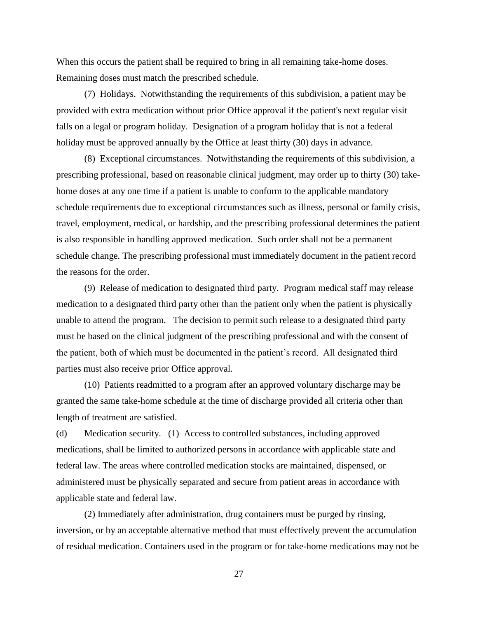When this occurs the patient shall be required to bring in all remaining take-home doses. Remaining doses must match the prescribed schedule.

(7) Holidays. Notwithstanding the requirements of this subdivision, a patient may be provided with extra medication without prior Office approval if the patient's next regular visit falls on a legal or program holiday. Designation of a program holiday that is not a federal holiday must be approved annually by the Office at least thirty (30) days in advance.

(8) Exceptional circumstances. Notwithstanding the requirements of this subdivision, a prescribing professional, based on reasonable clinical judgment, may order up to thirty (30) takehome doses at any one time if a patient is unable to conform to the applicable mandatory schedule requirements due to exceptional circumstances such as illness, personal or family crisis, travel, employment, medical, or hardship, and the prescribing professional determines the patient is also responsible in handling approved medication. Such order shall not be a permanent schedule change. The prescribing professional must immediately document in the patient record the reasons for the order.

(9) Release of medication to designated third party. Program medical staff may release medication to a designated third party other than the patient only when the patient is physically unable to attend the program. The decision to permit such release to a designated third party must be based on the clinical judgment of the prescribing professional and with the consent of the patient, both of which must be documented in the patient's record. All designated third parties must also receive prior Office approval.

(10) Patients readmitted to a program after an approved voluntary discharge may be granted the same take-home schedule at the time of discharge provided all criteria other than length of treatment are satisfied.

(d) Medication security. (1) Access to controlled substances, including approved medications, shall be limited to authorized persons in accordance with applicable state and federal law. The areas where controlled medication stocks are maintained, dispensed, or administered must be physically separated and secure from patient areas in accordance with applicable state and federal law.

(2) Immediately after administration, drug containers must be purged by rinsing, inversion, or by an acceptable alternative method that must effectively prevent the accumulation of residual medication. Containers used in the program or for take-home medications may not be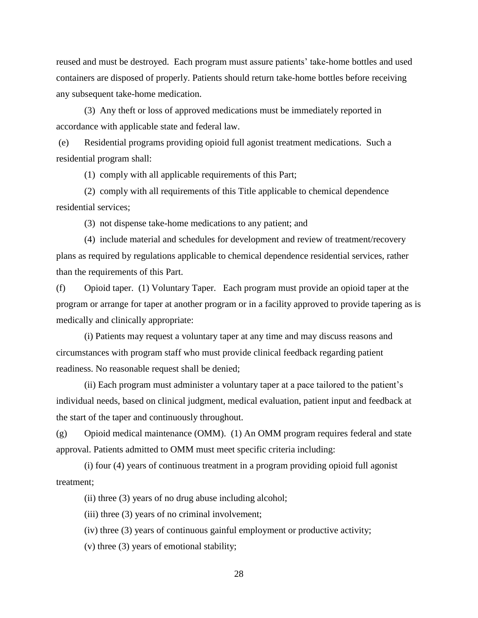reused and must be destroyed. Each program must assure patients' take-home bottles and used containers are disposed of properly. Patients should return take-home bottles before receiving any subsequent take-home medication.

(3) Any theft or loss of approved medications must be immediately reported in accordance with applicable state and federal law.

(e) Residential programs providing opioid full agonist treatment medications. Such a residential program shall:

(1) comply with all applicable requirements of this Part;

(2) comply with all requirements of this Title applicable to chemical dependence residential services;

(3) not dispense take-home medications to any patient; and

(4) include material and schedules for development and review of treatment/recovery plans as required by regulations applicable to chemical dependence residential services, rather than the requirements of this Part.

(f) Opioid taper. (1) Voluntary Taper. Each program must provide an opioid taper at the program or arrange for taper at another program or in a facility approved to provide tapering as is medically and clinically appropriate:

(i) Patients may request a voluntary taper at any time and may discuss reasons and circumstances with program staff who must provide clinical feedback regarding patient readiness. No reasonable request shall be denied;

(ii) Each program must administer a voluntary taper at a pace tailored to the patient's individual needs, based on clinical judgment, medical evaluation, patient input and feedback at the start of the taper and continuously throughout.

(g) Opioid medical maintenance (OMM). (1) An OMM program requires federal and state approval. Patients admitted to OMM must meet specific criteria including:

(i) four (4) years of continuous treatment in a program providing opioid full agonist treatment;

(ii) three (3) years of no drug abuse including alcohol;

(iii) three (3) years of no criminal involvement;

(iv) three (3) years of continuous gainful employment or productive activity;

(v) three (3) years of emotional stability;